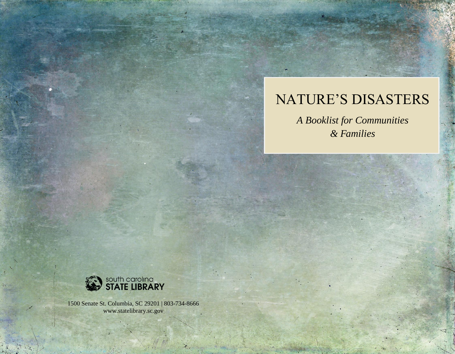# NATURE'S DISASTERS

*A Booklist for Communities & Families*



1500 Senate St. Columbia, SC 29201 | 803-734-8666 www.statelibrary.sc.gov